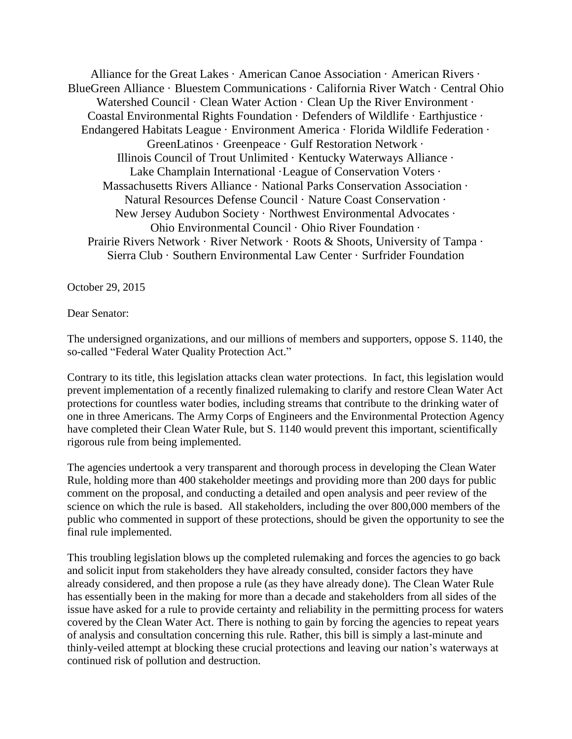Alliance for the Great Lakes · American Canoe Association · American Rivers · BlueGreen Alliance · Bluestem Communications · California River Watch · Central Ohio Watershed Council · Clean Water Action · Clean Up the River Environment · Coastal Environmental Rights Foundation · Defenders of Wildlife · Earthjustice · Endangered Habitats League · Environment America · Florida Wildlife Federation · GreenLatinos · Greenpeace · Gulf Restoration Network · Illinois Council of Trout Unlimited · Kentucky Waterways Alliance · Lake Champlain International ·League of Conservation Voters · Massachusetts Rivers Alliance · National Parks Conservation Association · Natural Resources Defense Council · Nature Coast Conservation · New Jersey Audubon Society · Northwest Environmental Advocates · Ohio Environmental Council · Ohio River Foundation · Prairie Rivers Network · River Network · Roots & Shoots, University of Tampa · Sierra Club · Southern Environmental Law Center · Surfrider Foundation

October 29, 2015

Dear Senator:

The undersigned organizations, and our millions of members and supporters, oppose S. 1140, the so-called "Federal Water Quality Protection Act."

Contrary to its title, this legislation attacks clean water protections. In fact, this legislation would prevent implementation of a recently finalized rulemaking to clarify and restore Clean Water Act protections for countless water bodies, including streams that contribute to the drinking water of one in three Americans. The Army Corps of Engineers and the Environmental Protection Agency have completed their Clean Water Rule, but S. 1140 would prevent this important, scientifically rigorous rule from being implemented.

The agencies undertook a very transparent and thorough process in developing the Clean Water Rule, holding more than 400 stakeholder meetings and providing more than 200 days for public comment on the proposal, and conducting a detailed and open analysis and peer review of the science on which the rule is based. All stakeholders, including the over 800,000 members of the public who commented in support of these protections, should be given the opportunity to see the final rule implemented.

This troubling legislation blows up the completed rulemaking and forces the agencies to go back and solicit input from stakeholders they have already consulted, consider factors they have already considered, and then propose a rule (as they have already done). The Clean Water Rule has essentially been in the making for more than a decade and stakeholders from all sides of the issue have asked for a rule to provide certainty and reliability in the permitting process for waters covered by the Clean Water Act. There is nothing to gain by forcing the agencies to repeat years of analysis and consultation concerning this rule. Rather, this bill is simply a last-minute and thinly-veiled attempt at blocking these crucial protections and leaving our nation's waterways at continued risk of pollution and destruction.